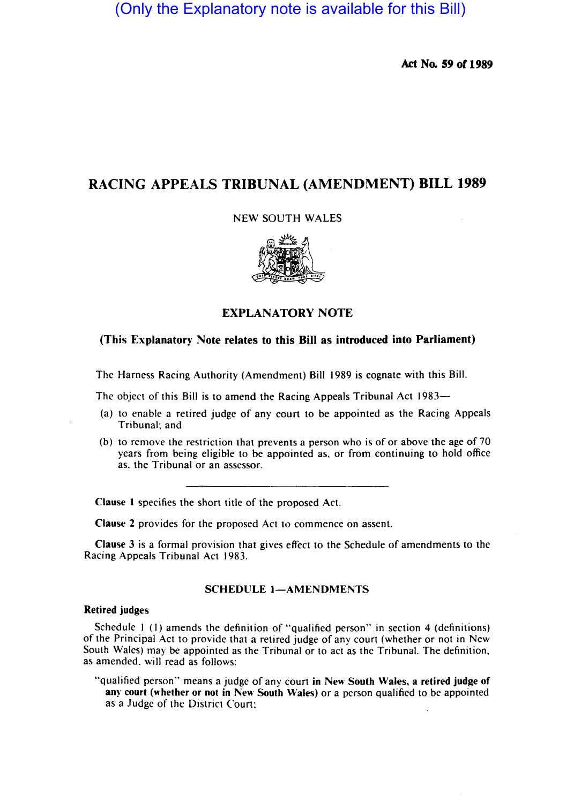(Only the Explanatory note is available for this Bill)

Act No. S9 or 1989

# RACING APPEALS TRIBUNAL (AMENDMENT) BILL 1989

NEW SOUTH WALES



## EXPLANATORY NOTE

### (This Explanatory Note relates to this Bill as introduced into Parliament)

The Harness Racing Authority (Amendment) Bill 1989 is cognate with this Bill.

The object of this Bill is to amend the Racing Appeals Tribunal Act 1983—

- (a) to enable a retired judge of any court to be appointed as the Racing Appeals Tribunal: and
- (b) to remove the restriction that prevents a person who is of or above the age of 70 years from being eligible to be appointed as, or from continuing to hold office as, the Tribunal or an assessor.

Clause I specifies the short title of the proposed Act.

Clause 2 provides for the proposed Act to commence on assent.

Clause 3 is a formal provision that gives effect to the Schedule of amendments to the Racing Appeals Tribunal Act 1983.

#### SCHEDULE 1-AMENDMENTS

#### Retired judges

Schedule I (I) amends the definition of "qualified person" in section 4 (definitions) of the Principal Act to provide that a retired judge of any court (whether or not in New South Wales) may be appointed as the Tribunal or to act as the Tribunal. The definition, as amended. will read as follows:

"qualified person" means a judge of any court in New South Wales, a retired judge of any court (whether or not in New South Wales) or a person qualified to be appointed as a Judge of the District Court: